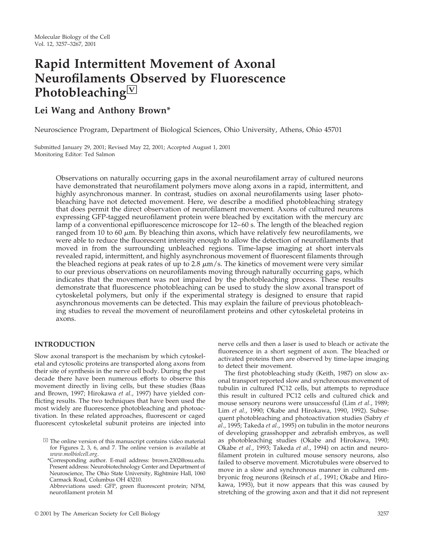# **Rapid Intermittent Movement of Axonal Neurofilaments Observed by Fluorescence Photobleaching**□**<sup>V</sup>**

## **Lei Wang and Anthony Brown\***

Neuroscience Program, Department of Biological Sciences, Ohio University, Athens, Ohio 45701

Submitted January 29, 2001; Revised May 22, 2001; Accepted August 1, 2001 Monitoring Editor: Ted Salmon

> Observations on naturally occurring gaps in the axonal neurofilament array of cultured neurons have demonstrated that neurofilament polymers move along axons in a rapid, intermittent, and highly asynchronous manner. In contrast, studies on axonal neurofilaments using laser photobleaching have not detected movement. Here, we describe a modified photobleaching strategy that does permit the direct observation of neurofilament movement. Axons of cultured neurons expressing GFP-tagged neurofilament protein were bleached by excitation with the mercury arc lamp of a conventional epifluorescence microscope for 12–60 s. The length of the bleached region ranged from 10 to 60  $\mu$ m. By bleaching thin axons, which have relatively few neurofilaments, we were able to reduce the fluorescent intensity enough to allow the detection of neurofilaments that moved in from the surrounding unbleached regions. Time-lapse imaging at short intervals revealed rapid, intermittent, and highly asynchronous movement of fluorescent filaments through the bleached regions at peak rates of up to 2.8  $\mu$ m/s. The kinetics of movement were very similar to our previous observations on neurofilaments moving through naturally occurring gaps, which indicates that the movement was not impaired by the photobleaching process. These results demonstrate that fluorescence photobleaching can be used to study the slow axonal transport of cytoskeletal polymers, but only if the experimental strategy is designed to ensure that rapid asynchronous movements can be detected. This may explain the failure of previous photobleaching studies to reveal the movement of neurofilament proteins and other cytoskeletal proteins in axons.

## **INTRODUCTION**

Slow axonal transport is the mechanism by which cytoskeletal and cytosolic proteins are transported along axons from their site of synthesis in the nerve cell body. During the past decade there have been numerous efforts to observe this movement directly in living cells, but these studies (Baas and Brown, 1997; Hirokawa *et al.*, 1997) have yielded conflicting results. The two techniques that have been used the most widely are fluorescence photobleaching and photoactivation. In these related approaches, fluorescent or caged fluorescent cytoskeletal subunit proteins are injected into nerve cells and then a laser is used to bleach or activate the fluorescence in a short segment of axon. The bleached or activated proteins then are observed by time-lapse imaging to detect their movement.

The first photobleaching study (Keith, 1987) on slow axonal transport reported slow and synchronous movement of tubulin in cultured PC12 cells, but attempts to reproduce this result in cultured PC12 cells and cultured chick and mouse sensory neurons were unsuccessful (Lim *et al.*, 1989; Lim *et al.*, 1990; Okabe and Hirokawa, 1990, 1992). Subsequent photobleaching and photoactivation studies (Sabry *et al.*, 1995; Takeda *et al.*, 1995) on tubulin in the motor neurons of developing grasshopper and zebrafish embryos, as well as photobleaching studies (Okabe and Hirokawa, 1990; Okabe *et al.*, 1993; Takeda *et al.*, 1994) on actin and neurofilament protein in cultured mouse sensory neurons, also failed to observe movement. Microtubules were observed to move in a slow and synchronous manner in cultured embryonic frog neurons (Reinsch *et al.*, 1991; Okabe and Hirokawa, 1993), but it now appears that this was caused by stretching of the growing axon and that it did not represent

 $\Im$  The online version of this manuscript contains video material for Figures 2, 3, 6, and 7. The online version is available at *www.molbiolcell.org*.

<sup>\*</sup>Corresponding author. E-mail address: brown.2302@osu.edu. Present address: Neurobiotechnology Center and Department of Neuroscience, The Ohio State University, Rightmire Hall, 1060 Carmack Road, Columbus OH 43210.

Abbreviations used: GFP, green fluorescent protein; NFM, neurofilament protein M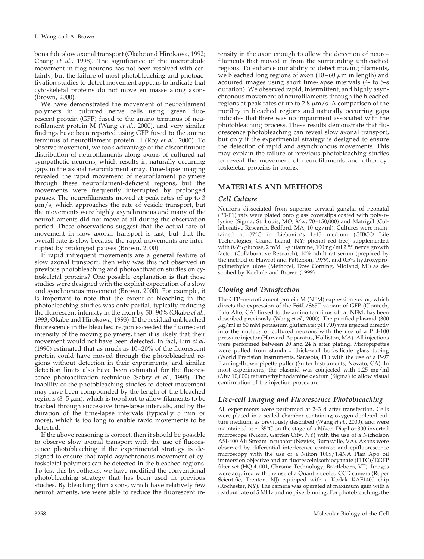bona fide slow axonal transport (Okabe and Hirokawa, 1992; Chang *et al.*, 1998). The significance of the microtubule movement in frog neurons has not been resolved with certainty, but the failure of most photobleaching and photoactivation studies to detect movement appears to indicate that cytoskeletal proteins do not move en masse along axons  $(Brown, 2000).$ 

We have demonstrated the movement of neurofilament polymers in cultured nerve cells using green fluorescent protein (GFP) fused to the amino terminus of neurofilament protein M (Wang *et al.*, 2000), and very similar findings have been reported using GFP fused to the amino terminus of neurofilament protein H (Roy *et al.*, 2000). To observe movement, we took advantage of the discontinuous distribution of neurofilaments along axons of cultured rat sympathetic neurons, which results in naturally occurring gaps in the axonal neurofilament array. Time-lapse imaging revealed the rapid movement of neurofilament polymers through these neurofilament-deficient regions, but the movements were frequently interrupted by prolonged pauses. The neurofilaments moved at peak rates of up to 3  $\mu$ m/s, which approaches the rate of vesicle transport, but the movements were highly asynchronous and many of the neurofilaments did not move at all during the observation period. These observations suggest that the actual rate of movement in slow axonal transport is fast, but that the overall rate is slow because the rapid movements are interrupted by prolonged pauses (Brown, 2000).

If rapid infrequent movements are a general feature of slow axonal transport, then why was this not observed in previous photobleaching and photoactivation studies on cytoskeletal proteins? One possible explanation is that those studies were designed with the explicit expectation of a slow and synchronous movement (Brown, 2000). For example, it is important to note that the extent of bleaching in the photobleaching studies was only partial, typically reducing the fluorescent intensity in the axon by 50–90% (Okabe *et al.*, 1993; Okabe and Hirokawa, 1993). If the residual unbleached fluorescence in the bleached region exceeded the fluorescent intensity of the moving polymers, then it is likely that their movement would not have been detected. In fact, Lim *et al.* (1990) estimated that as much as 10–20% of the fluorescent protein could have moved through the photobleached regions without detection in their experiments, and similar detection limits also have been estimated for the fluorescence photoactivation technique (Sabry *et al.*, 1995). The inability of the photobleaching studies to detect movement may have been compounded by the length of the bleached regions (3–5  $\mu$ m), which is too short to allow filaments to be tracked through successive time-lapse intervals, and by the duration of the time-lapse intervals (typically 5 min or more), which is too long to enable rapid movements to be detected.

If the above reasoning is correct, then it should be possible to observe slow axonal transport with the use of fluorescence photobleaching if the experimental strategy is designed to ensure that rapid asynchronous movement of cytoskeletal polymers can be detected in the bleached regions. To test this hypothesis, we have modified the conventional photobleaching strategy that has been used in previous studies. By bleaching thin axons, which have relatively few neurofilaments, we were able to reduce the fluorescent intensity in the axon enough to allow the detection of neurofilaments that moved in from the surrounding unbleached regions. To enhance our ability to detect moving filaments, we bleached long regions of axon  $(10-60 \mu m)$  in length) and acquired images using short time-lapse intervals (4- to 5-s duration). We observed rapid, intermittent, and highly asynchronous movement of neurofilaments through the bleached regions at peak rates of up to 2.8  $\mu$ m/s. A comparison of the motility in bleached regions and naturally occurring gaps indicates that there was no impairment associated with the photobleaching process. These results demonstrate that fluorescence photobleaching can reveal slow axonal transport, but only if the experimental strategy is designed to ensure the detection of rapid and asynchronous movements. This may explain the failure of previous photobleaching studies to reveal the movement of neurofilaments and other cytoskeletal proteins in axons.

## **MATERIALS AND METHODS**

#### *Cell Culture*

Neurons dissociated from superior cervical ganglia of neonatal (P0-P1) rats were plated onto glass coverslips coated with poly-Dlysine (Sigma, St. Louis, MO; *M*w, 70–150,000) and Matrigel (Collaborative Research, Bedford, MA; 10  $\mu$ g/ml). Cultures were maintained at 37°C in Liebovitz's L-15 medium (GIBCO Life Technologies, Grand Island, NY; phenol red-free) supplemented with 0.6% glucose, 2 mM L-glutamine, 100 ng/ml 2.5S nerve growth factor (Collaborative Research), 10% adult rat serum (prepared by the method of Hawrot and Patterson, 1979), and 0.5% hydroxypropylmethylcellulose (Methocel, Dow Corning, Midland, MI) as described by Koehnle and Brown (1999).

#### *Cloning and Transfection*

The GFP–neurofilament protein M (NFM) expression vector, which directs the expression of the F64L/S65T variant of GFP (Clontech, Palo Alto, CA) linked to the amino terminus of rat NFM, has been described previously (Wang *et al.*, 2000). The purified plasmid (300  $\mu$ g/ml in 50 mM potassium glutamate; pH 7.0) was injected directly into the nucleus of cultured neurons with the use of a PLI-100 pressure injector (Harvard Apparatus, Holliston, MA). All injections were performed between 20 and 24 h after plating. Micropipettes were pulled from standard thick-wall borosilicate glass tubing (World Precision Instruments, Sarasota, FL) with the use of a P-97 Flaming-Brown pipette puller (Sutter Instruments, Novato, CA). In most experiments, the plasmid was coinjected with 1.25 mg/ml (*M*w 10,000) tetramethylrhodamine dextran (Sigma) to allow visual confirmation of the injection procedure.

#### *Live-cell Imaging and Fluorescence Photobleaching*

All experiments were performed at 2–3 d after transfection. Cells were placed in a sealed chamber containing oxygen-depleted culture medium, as previously described (Wang *et al.*, 2000), and were maintained at  $\sim$  35°C on the stage of a Nikon Diaphot 300 inverted microscope (Nikon, Garden City, NY) with the use of a Nicholson ASI-400 Air Stream Incubator (Nevtek, Burnsville, VA). Axons were observed by differential interference contrast and epifluorescence microscopy with the use of a Nikon 100x/1.4NA Plan Apo oil immersion objective and an fluoresceinisothiocyanate (FITC)/EGFP filter set (HQ 41001, Chroma Technology, Brattleboro, VT). Images were acquired with the use of a Quantix cooled CCD camera (Roper Scientific, Trenton, NJ) equipped with a Kodak KAF1400 chip (Rochester, NY). The camera was operated at maximum gain with a readout rate of 5 MHz and no pixel binning. For photobleaching, the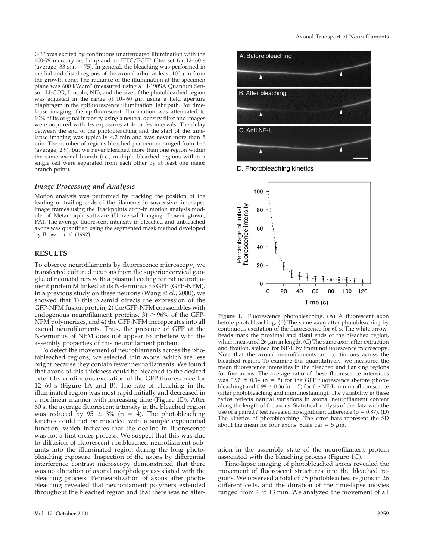GFP was excited by continuous unattenuated illumination with the 100-W mercury arc lamp and an FITC/EGFP filter set for 12–60 s (average,  $33 \text{ s}$ ;  $n = 75$ ). In general, the bleaching was performed in medial and distal regions of the axonal arbor at least  $100 \mu m$  from the growth cone. The radiance of the illumination at the specimen plane was 600 kW/m2 (measured using a LI-190SA Quantum Sensor, LI-COR, Lincoln, NE), and the size of the photobleached region was adjusted in the range of  $10-60 \mu m$  using a field aperture diaphragm in the epifluorescence illumination light path. For timelapse imaging, the epifluorescent illumination was attenuated to 10% of its original intensity using a neutral density filter and images were acquired with 1-s exposures at 4- or 5-s intervals. The delay between the end of the photobleaching and the start of the timelapse imaging was typically  $\leq$ 2 min and was never more than 5 min. The number of regions bleached per neuron ranged from 1–6 (average, 2.9), but we never bleached more than one region within the same axonal branch (i.e., multiple bleached regions within a single cell were separated from each other by at least one major branch point).

#### *Image Processing and Analysis*

Motion analysis was performed by tracking the position of the leading or trailing ends of the filaments in successive time-lapse image frames using the Trackpoints drop-in motion analysis module of Metamorph software (Universal Imaging, Downingtown, PA). The average fluorescent intensity in bleached and unbleached axons was quantified using the segmented mask method developed by Brown *et al.* (1992).

#### **RESULTS**

To observe neurofilaments by fluorescence microscopy, we transfected cultured neurons from the superior cervical ganglia of neonatal rats with a plasmid coding for rat neurofilament protein M linked at its N-terminus to GFP (GFP-NFM). In a previous study on these neurons (Wang *et al.*, 2000), we showed that 1) this plasmid directs the expression of the GFP-NFM fusion protein, 2) the GFP-NFM coassembles with endogenous neurofilament proteins,  $3 \geq 96\%$  of the GFP-NFM polymerizes, and 4) the GFP-NFM incorporates into all axonal neurofilaments. Thus, the presence of GFP at the N-terminus of NFM does not appear to interfere with the assembly properties of this neurofilament protein.

To detect the movement of neurofilaments across the photobleached regions, we selected thin axons, which are less bright because they contain fewer neurofilaments. We found that axons of this thickness could be bleached to the desired extent by continuous excitation of the GFP fluorescence for 12–60 s (Figure 1A and B). The rate of bleaching in the illuminated region was most rapid initially and decreased in a nonlinear manner with increasing time (Figure 1D). After 60 s, the average fluorescent intensity in the bleached region was reduced by  $95 \pm 3\%$  (n = 4). The photobleaching kinetics could not be modeled with a simple exponential function, which indicates that the decline in fluorescence was not a first-order process. We suspect that this was due to diffusion of fluorescent nonbleached neurofilament subunits into the illuminated region during the long photobleaching exposure. Inspection of the axons by differential interference contrast microscopy demonstrated that there was no alteration of axonal morphology associated with the bleaching process. Permeabilization of axons after photobleaching revealed that neurofilament polymers extended throughout the bleached region and that there was no alter-



D. Photobleaching kinetics



**Figure 1.** Fluorescence photobleaching. (A) A fluorescent axon before photobleaching. (B) The same axon after photobleaching by continuous excitation of the fluorescence for 60 s. The white arrowheads mark the proximal and distal ends of the bleached region, which measured  $26 \mu m$  in length. (C) The same axon after extraction and fixation, stained for NF-L by immunofluorescence microscopy. Note that the axonal neurofilaments are continuous across the bleached region. To examine this quantitatively, we measured the mean fluorescence intensities in the bleached and flanking regions for five axons. The average ratio of these fluorescence intensities was  $0.97 \pm 0.34$  (n = 5) for the GFP fluorescence (before photobleaching) and  $0.98 \pm 0.36$  (n = 5) for the NF-L immunofluorescence (after photobleaching and immunostaining). The variability in these ratios reflects natural variations in axonal neurofilament content along the length of the axons. Statistical analysis of the data with the use of a paired  $t$  test revealed no significant difference ( $p = 0.87$ ). (D) The kinetics of photobleaching. The error bars represent the SD about the mean for four axons. Scale bar  $= 5 \mu m$ .

ation in the assembly state of the neurofilament protein associated with the bleaching process (Figure 1C).

Time-lapse imaging of photobleached axons revealed the movement of fluorescent structures into the bleached regions. We observed a total of 75 photobleached regions in 26 different cells, and the duration of the time-lapse movies ranged from 4 to 13 min. We analyzed the movement of all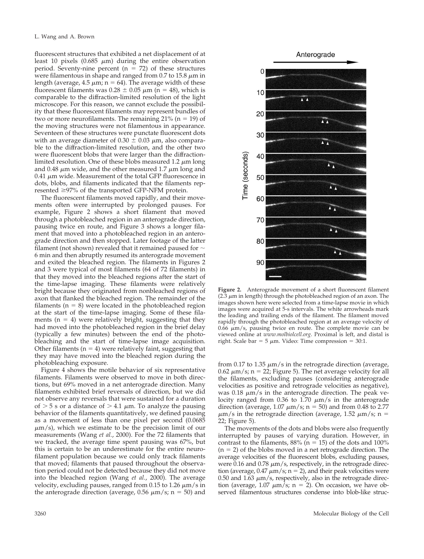fluorescent structures that exhibited a net displacement of at least 10 pixels  $(0.685 \mu m)$  during the entire observation period. Seventy-nine percent  $(n = 72)$  of these structures were filamentous in shape and ranged from 0.7 to 15.8  $\mu$ m in length (average, 4.5  $\mu$ m; n = 64). The average width of these fluorescent filaments was  $0.28 \pm 0.05 \ \mu m$  (n = 48), which is comparable to the diffraction-limited resolution of the light microscope. For this reason, we cannot exclude the possibility that these fluorescent filaments may represent bundles of two or more neurofilaments. The remaining  $21\%$  (n = 19) of the moving structures were not filamentous in appearance. Seventeen of these structures were punctate fluorescent dots with an average diameter of  $0.30 \pm 0.03 \mu$ m, also comparable to the diffraction-limited resolution, and the other two were fluorescent blobs that were larger than the diffractionlimited resolution. One of these blobs measured 1.2  $\mu$ m long and 0.48  $\mu$ m wide, and the other measured 1.7  $\mu$ m long and  $0.41 \mu m$  wide. Measurement of the total GFP fluorescence in dots, blobs, and filaments indicated that the filaments represented  $\geq$ 97% of the transported GFP-NFM protein.

The fluorescent filaments moved rapidly, and their movements often were interrupted by prolonged pauses. For example, Figure 2 shows a short filament that moved through a photobleached region in an anterograde direction, pausing twice en route, and Figure 3 shows a longer filament that moved into a photobleached region in an anterograde direction and then stopped. Later footage of the latter filament (not shown) revealed that it remained paused for  $\sim$ 6 min and then abruptly resumed its anterograde movement and exited the bleached region. The filaments in Figures 2 and 3 were typical of most filaments (64 of 72 filaments) in that they moved into the bleached regions after the start of the time-lapse imaging. These filaments were relatively bright because they originated from nonbleached regions of axon that flanked the bleached region. The remainder of the filaments ( $n = 8$ ) were located in the photobleached region at the start of the time-lapse imaging. Some of these filaments  $(n = 4)$  were relatively bright, suggesting that they had moved into the photobleached region in the brief delay (typically a few minutes) between the end of the photobleaching and the start of time-lapse image acquisition. Other filaments ( $n = 4$ ) were relatively faint, suggesting that they may have moved into the bleached region during the photobleaching exposure.

Figure 4 shows the motile behavior of six representative filaments. Filaments were observed to move in both directions, but 69% moved in a net anterograde direction. Many filaments exhibited brief reversals of direction, but we did not observe any reversals that were sustained for a duration of  $> 5$  s or a distance of  $> 4.1 \mu m$ . To analyze the pausing behavior of the filaments quantitatively, we defined pausing as a movement of less than one pixel per second (0.0685  $\mu$ m/s), which we estimate to be the precision limit of our measurements (Wang *et al.*, 2000). For the 72 filaments that we tracked, the average time spent pausing was 67%, but this is certain to be an underestimate for the entire neurofilament population because we could only track filaments that moved; filaments that paused throughout the observation period could not be detected because they did not move into the bleached region (Wang *et al.*, 2000). The average velocity, excluding pauses, ranged from 0.15 to 1.26  $\mu$ m/s in the anterograde direction (average,  $0.56 \ \mu m/s$ ; n = 50) and



**Figure 2.** Anterograde movement of a short fluorescent filament  $(2.3 \mu m)$  in length) through the photobleached region of an axon. The images shown here were selected from a time-lapse movie in which images were acquired at 5-s intervals. The white arrowheads mark the leading and trailing ends of the filament. The filament moved rapidly through the photobleached region at an average velocity of  $0.66 \mu m/s$ , pausing twice en route. The complete movie can be viewed online at *www.molbiolcell.org*. Proximal is left, and distal is right. Scale bar =  $5 \mu m$ . Video: Time compression =  $30:1$ .

from 0.17 to 1.35  $\mu$ m/s in the retrograde direction (average, 0.62  $\mu$ m/s; n = 22; Figure 5). The net average velocity for all the filaments, excluding pauses (considering anterograde velocities as positive and retrograde velocities as negative), was  $0.18 \mu m/s$  in the anterograde direction. The peak velocity ranged from 0.36 to 1.70  $\mu$ m/s in the anterograde direction (average,  $1.07 \ \mu m/s$ ;  $n = 50$ ) and from 0.48 to 2.77  $\mu$ m/s in the retrograde direction (average, 1.52  $\mu$ m/s; n = 22; Figure 5).

The movements of the dots and blobs were also frequently interrupted by pauses of varying duration. However, in contrast to the filaments,  $88\%$  (n = 15) of the dots and  $100\%$  $(n = 2)$  of the blobs moved in a net retrograde direction. The average velocities of the fluorescent blobs, excluding pauses, were  $0.16$  and  $0.78 \mu m/s$ , respectively, in the retrograde direction (average,  $0.47 \ \mu m/s$ ; n = 2), and their peak velocities were 0.50 and 1.63  $\mu$ m/s, respectively, also in the retrograde direction (average,  $1.07 \mu m/s$ ; n = 2). On occasion, we have observed filamentous structures condense into blob-like struc-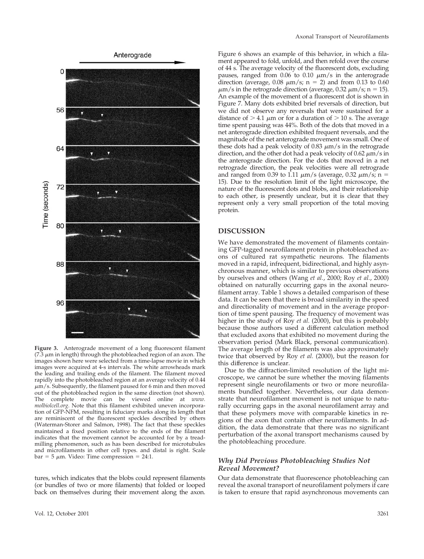

**Figure 3.** Anterograde movement of a long fluorescent filament ( $7.3 \mu$ m in length) through the photobleached region of an axon. The images shown here were selected from a time-lapse movie in which images were acquired at 4-s intervals. The white arrowheads mark the leading and trailing ends of the filament. The filament moved rapidly into the photobleached region at an average velocity of 0.44  $\mu$ m/s. Subsequently, the filament paused for 6 min and then moved out of the photobleached region in the same direction (not shown). The complete movie can be viewed online at *www. molbiolcell.org*. Note that this filament exhibited uneven incorporation of GFP-NFM, resulting in fiduciary marks along its length that are reminiscent of the fluorescent speckles described by others (Waterman-Storer and Salmon, 1998). The fact that these speckles maintained a fixed position relative to the ends of the filament indicates that the movement cannot be accounted for by a treadmilling phenomenon, such as has been described for microtubules and microfilaments in other cell types. and distal is right. Scale  $bar = 5 \mu m$ . Video: Time compression = 24:1.

tures, which indicates that the blobs could represent filaments (or bundles of two or more filaments) that folded or looped back on themselves during their movement along the axon.

Figure 6 shows an example of this behavior, in which a filament appeared to fold, unfold, and then refold over the course of 44 s. The average velocity of the fluorescent dots, excluding pauses, ranged from  $0.06$  to  $0.10 \mu m/s$  in the anterograde direction (average,  $0.08 \mu m/s$ ; n = 2) and from 0.13 to 0.60  $\mu$ m/s in the retrograde direction (average, 0.32  $\mu$ m/s; n = 15). An example of the movement of a fluorescent dot is shown in Figure 7. Many dots exhibited brief reversals of direction, but we did not observe any reversals that were sustained for a distance of  $> 4.1 \mu m$  or for a duration of  $> 10 \mu s$ . The average time spent pausing was 44%. Both of the dots that moved in a net anterograde direction exhibited frequent reversals, and the magnitude of the net anterograde movement was small. One of these dots had a peak velocity of  $0.83 \mu m/s$  in the retrograde direction, and the other dot had a peak velocity of  $0.62 \mu m/s$  in the anterograde direction. For the dots that moved in a net retrograde direction, the peak velocities were all retrograde and ranged from 0.39 to 1.11  $\mu$ m/s (average, 0.32  $\mu$ m/s; n = 15). Due to the resolution limit of the light microscope, the nature of the fluorescent dots and blobs, and their relationship to each other, is presently unclear, but it is clear that they represent only a very small proportion of the total moving protein.

#### **DISCUSSION**

We have demonstrated the movement of filaments containing GFP-tagged neurofilament protein in photobleached axons of cultured rat sympathetic neurons. The filaments moved in a rapid, infrequent, bidirectional, and highly asynchronous manner, which is similar to previous observations by ourselves and others (Wang *et al.*, 2000; Roy *et al.*, 2000) obtained on naturally occurring gaps in the axonal neurofilament array. Table 1 shows a detailed comparison of these data. It can be seen that there is broad similarity in the speed and directionality of movement and in the average proportion of time spent pausing. The frequency of movement was higher in the study of Roy *et al.* (2000), but this is probably because those authors used a different calculation method that excluded axons that exhibited no movement during the observation period (Mark Black, personal communication). The average length of the filaments was also approximately twice that observed by Roy *et al.* (2000), but the reason for this difference is unclear.

Due to the diffraction-limited resolution of the light microscope, we cannot be sure whether the moving filaments represent single neurofilaments or two or more neurofilaments bundled together. Nevertheless, our data demonstrate that neurofilament movement is not unique to naturally occurring gaps in the axonal neurofilament array and that these polymers move with comparable kinetics in regions of the axon that contain other neurofilaments. In addition, the data demonstrate that there was no significant perturbation of the axonal transport mechanisms caused by the photobleaching procedure.

#### *Why Did Previous Photobleaching Studies Not Reveal Movement?*

Our data demonstrate that fluorescence photobleaching can reveal the axonal transport of neurofilament polymers if care is taken to ensure that rapid asynchronous movements can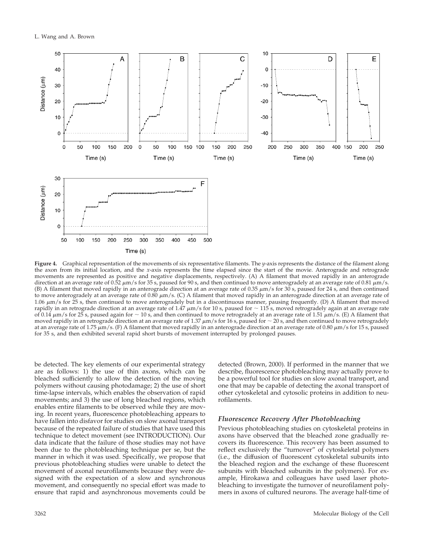

**Figure 4.** Graphical representation of the movements of six representative filaments. The *y*-axis represents the distance of the filament along the axon from its initial location, and the *x*-axis represents the time elapsed since the start of the movie. Anterograde and retrograde movements are represented as positive and negative displacements, respectively. (A) A filament that moved rapidly in an anterograde direction at an average rate of 0.52  $\mu$ m/s for 35 s, paused for 90 s, and then continued to move anterogradely at an average rate of 0.81  $\mu$ m/s. (B) A filament that moved rapidly in an anterograde direction at an average rate of 0.35  $\mu$ m/s for 30 s, paused for 24 s, and then continued to move anterogradely at an average rate of 0.80  $\mu$ m/s. (C) A filament that moved rapidly in an anterograde direction at an average rate of 1.06 m/s for 25 s, then continued to move anterogradely but in a discontinuous manner, pausing frequently. (D) A filament that moved rapidly in an retrograde direction at an average rate of  $1.47 \mu m/s$  for 10 s, paused for  $\sim 115$  s, moved retrogradely again at an average rate of 0.14  $\mu$ m/s for 25 s, paused again for  $\sim$  10 s, and then continued to move retrogradely at an average rate of 1.51  $\mu$ m/s. (E) A filament that moved rapidly in an retrograde direction at an average rate of 1.37  $\mu$ m/s for 16 s, paused for  $\sim$  20 s, and then continued to move retrogradely at an average rate of 1.75  $\mu$ m/s. (F) A filament that moved rapidly in an anterograde direction at an average rate of 0.80  $\mu$ m/s for 15 s, paused for 35 s, and then exhibited several rapid short bursts of movement interrupted by prolonged pauses.

be detected. The key elements of our experimental strategy are as follows: 1) the use of thin axons, which can be bleached sufficiently to allow the detection of the moving polymers without causing photodamage; 2) the use of short time-lapse intervals, which enables the observation of rapid movements; and 3) the use of long bleached regions, which enables entire filaments to be observed while they are moving. In recent years, fluorescence photobleaching appears to have fallen into disfavor for studies on slow axonal transport because of the repeated failure of studies that have used this technique to detect movement (see INTRODUCTION). Our data indicate that the failure of those studies may not have been due to the photobleaching technique per se, but the manner in which it was used. Specifically, we propose that previous photobleaching studies were unable to detect the movement of axonal neurofilaments because they were designed with the expectation of a slow and synchronous movement, and consequently no special effort was made to ensure that rapid and asynchronous movements could be

detected (Brown, 2000). If performed in the manner that we describe, fluorescence photobleaching may actually prove to be a powerful tool for studies on slow axonal transport, and one that may be capable of detecting the axonal transport of other cytoskeletal and cytosolic proteins in addition to neurofilaments.

## *Fluorescence Recovery After Photobleaching*

Previous photobleaching studies on cytoskeletal proteins in axons have observed that the bleached zone gradually recovers its fluorescence. This recovery has been assumed to reflect exclusively the "turnover" of cytoskeletal polymers (i.e., the diffusion of fluorescent cytoskeletal subunits into the bleached region and the exchange of these fluorescent subunits with bleached subunits in the polymers). For example, Hirokawa and colleagues have used laser photobleaching to investigate the turnover of neurofilament polymers in axons of cultured neurons. The average half-time of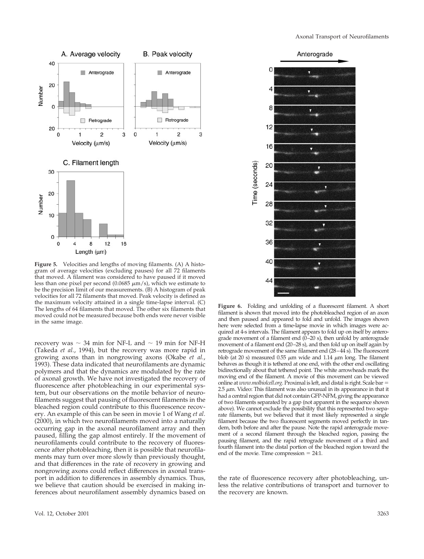

**Figure 5.** Velocities and lengths of moving filaments. (A) A histogram of average velocities (excluding pauses) for all 72 filaments that moved. A filament was considered to have paused if it moved less than one pixel per second (0.0685  $\mu$ m/s), which we estimate to be the precision limit of our measurements. (B) A histogram of peak velocities for all 72 filaments that moved. Peak velocity is defined as the maximum velocity attained in a single time-lapse interval. (C) The lengths of 64 filaments that moved. The other six filaments that moved could not be measured because both ends were never visible in the same image.

recovery was  $\sim$  34 min for NF-L and  $\sim$  19 min for NF-H (Takeda *et al.*, 1994), but the recovery was more rapid in growing axons than in nongrowing axons (Okabe *et al.*, 1993). These data indicated that neurofilaments are dynamic polymers and that the dynamics are modulated by the rate of axonal growth. We have not investigated the recovery of fluorescence after photobleaching in our experimental system, but our observations on the motile behavior of neurofilaments suggest that pausing of fluorescent filaments in the bleached region could contribute to this fluorescence recovery. An example of this can be seen in movie 1 of Wang *et al.* (2000), in which two neurofilaments moved into a naturally occurring gap in the axonal neurofilament array and then paused, filling the gap almost entirely. If the movement of neurofilaments could contribute to the recovery of fluorescence after photobleaching, then it is possible that neurofilaments may turn over more slowly than previously thought, and that differences in the rate of recovery in growing and nongrowing axons could reflect differences in axonal transport in addition to differences in assembly dynamics. Thus, we believe that caution should be exercised in making inferences about neurofilament assembly dynamics based on



**Figure 6.** Folding and unfolding of a fluorescent filament. A short filament is shown that moved into the photobleached region of an axon and then paused and appeared to fold and unfold. The images shown here were selected from a time-lapse movie in which images were acquired at 4-s intervals. The filament appears to fold up on itself by anterograde movement of a filament end (0–20 s), then unfold by anterograde movement of a filament end (20–28 s), and then fold up on itself again by retrograde movement of the same filament end (28–44 s). The fluorescent blob (at 20 s) measured 0.55  $\mu$ m wide and 1.14  $\mu$ m long. The filament behaves as though it is tethered at one end, with the other end oscillating bidirectionally about that tethered point. The white arrowheads mark the moving end of the filament. A movie of this movement can be viewed online at *www.molbiolcell.org*. Proximal is left, and distal is right. Scale bar =  $2.5 \mu$ m. Video: This filament was also unusual in its appearance in that it had a central region that did not contain GFP-NFM, giving the appearance of two filaments separated by a gap (not apparent in the sequence shown above). We cannot exclude the possibility that this represented two separate filaments, but we believed that it most likely represented a single filament because the two fluorescent segments moved perfectly in tandem, both before and after the pause. Note the rapid anterograde movement of a second filament through the bleached region, passing the pausing filament, and the rapid retrograde movement of a third and fourth filament into the distal portion of the bleached region toward the end of the movie. Time compression  $= 24:1$ .

the rate of fluorescence recovery after photobleaching, unless the relative contributions of transport and turnover to the recovery are known.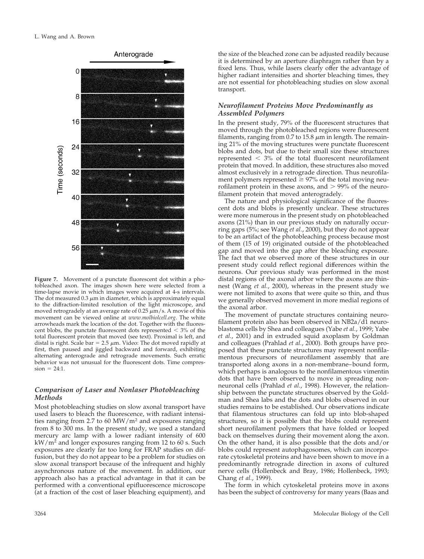

**Figure 7.** Movement of a punctate fluorescent dot within a photobleached axon. The images shown here were selected from a time-lapse movie in which images were acquired at 4-s intervals. The dot measured  $0.3 \mu m$  in diameter, which is approximately equal to the diffraction-limited resolution of the light microscope, and moved retrogradely at an average rate of 0.25  $\mu$ m/s. A movie of this movement can be viewed online at *www.molbiolcell.org*. The white arrowheads mark the location of the dot. Together with the fluorescent blobs, the punctate fluorescent dots represented  $<$  3% of the total fluorescent protein that moved (see text). Proximal is left, and distal is right. Scale bar =  $2.5 \mu m$ . Video: The dot moved rapidly at first, then paused and jiggled backward and forward, exhibiting alternating anterograde and retrograde movements. Such erratic behavior was not unusual for the fluorescent dots. Time compres $sion = 24:1$ .

#### *Comparison of Laser and Nonlaser Photobleaching Methods*

Most photobleaching studies on slow axonal transport have used lasers to bleach the fluorescence, with radiant intensities ranging from 2.7 to 60 MW/m2 and exposures ranging from 8 to 300 ms. In the present study, we used a standard mercury arc lamp with a lower radiant intensity of 600  $kW/m<sup>2</sup>$  and longer exposures ranging from 12 to 60 s. Such exposures are clearly far too long for FRAP studies on diffusion, but they do not appear to be a problem for studies on slow axonal transport because of the infrequent and highly asynchronous nature of the movement. In addition, our approach also has a practical advantage in that it can be performed with a conventional epifluorescence microscope (at a fraction of the cost of laser bleaching equipment), and

the size of the bleached zone can be adjusted readily because it is determined by an aperture diaphragm rather than by a fixed lens. Thus, while lasers clearly offer the advantage of higher radiant intensities and shorter bleaching times, they are not essential for photobleaching studies on slow axonal transport.

### *Neurofilament Proteins Move Predominantly as Assembled Polymers*

In the present study, 79% of the fluorescent structures that moved through the photobleached regions were fluorescent filaments, ranging from 0.7 to 15.8  $\mu$ m in length. The remaining 21% of the moving structures were punctate fluorescent blobs and dots, but due to their small size these structures represented  $<$  3% of the total fluorescent neurofilament protein that moved. In addition, these structures also moved almost exclusively in a retrograde direction. Thus neurofilament polymers represented  $\geq$  97% of the total moving neurofilament protein in these axons, and  $> 99\%$  of the neurofilament protein that moved anterogradely.

The nature and physiological significance of the fluorescent dots and blobs is presently unclear. These structures were more numerous in the present study on photobleached axons (21%) than in our previous study on naturally occurring gaps (5%; see Wang *et al.*, 2000), but they do not appear to be an artifact of the photobleaching process because most of them (15 of 19) originated outside of the photobleached gap and moved into the gap after the bleaching exposure. The fact that we observed more of these structures in our present study could reflect regional differences within the neurons. Our previous study was performed in the most distal regions of the axonal arbor where the axons are thinnest (Wang *et al.*, 2000), whereas in the present study we were not limited to axons that were quite so thin, and thus we generally observed movement in more medial regions of the axonal arbor.

The movement of punctate structures containing neurofilament protein also has been observed in NB2a/d1 neuroblastoma cells by Shea and colleagues (Yabe *et al.*, 1999; Yabe *et al.*, 2001) and in extruded squid axoplasm by Goldman and colleagues (Prahlad *et al.*, 2000). Both groups have proposed that these punctate structures may represent nonfilamentous precursors of neurofilament assembly that are transported along axons in a non-membrane–bound form, which perhaps is analogous to the nonfilamentous vimentin dots that have been observed to move in spreading nonneuronal cells (Prahlad *et al.*, 1998). However, the relationship between the punctate structures observed by the Goldman and Shea labs and the dots and blobs observed in our studies remains to be established. Our observations indicate that filamentous structures can fold up into blob-shaped structures, so it is possible that the blobs could represent short neurofilament polymers that have folded or looped back on themselves during their movement along the axon. On the other hand, it is also possible that the dots and/or blobs could represent autophagosomes, which can incorporate cytoskeletal proteins and have been shown to move in a predominantly retrograde direction in axons of cultured nerve cells (Hollenbeck and Bray, 1986; Hollenbeck, 1993; Chang *et al.*, 1999).

The form in which cytoskeletal proteins move in axons has been the subject of controversy for many years (Baas and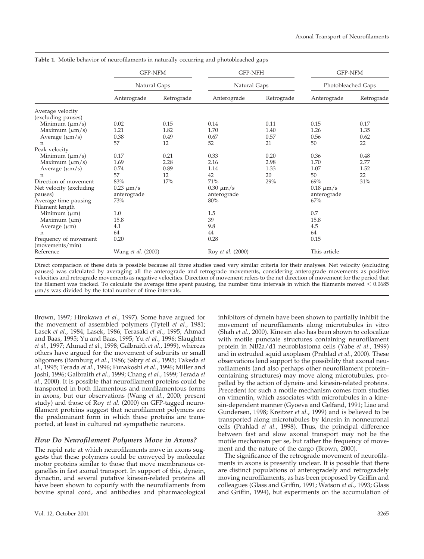|                         | <b>GFP-NFM</b><br>Natural Gaps |            | <b>GFP-NFH</b><br>Natural Gaps |            | <b>GFP-NFM</b><br>Photobleached Gaps |            |
|-------------------------|--------------------------------|------------|--------------------------------|------------|--------------------------------------|------------|
|                         |                                |            |                                |            |                                      |            |
|                         | Anterograde                    | Retrograde | Anterograde                    | Retrograde | Anterograde                          | Retrograde |
| Average velocity        |                                |            |                                |            |                                      |            |
| (excluding pauses)      |                                |            |                                |            |                                      |            |
| Minimum $(\mu m/s)$     | 0.02                           | 0.15       | 0.14                           | 0.11       | 0.15                                 | 0.17       |
| Maximum $(\mu m/s)$     | 1.21                           | 1.82       | 1.70                           | 1.40       | 1.26                                 | 1.35       |
| Average $(\mu m/s)$     | 0.38                           | 0.49       | 0.67                           | 0.57       | 0.56                                 | 0.62       |
| n                       | 57                             | 12         | 52                             | 21         | 50                                   | 22         |
| Peak velocity           |                                |            |                                |            |                                      |            |
| Minimum $(\mu m/s)$     | 0.17                           | 0.21       | 0.33                           | 0.20       | 0.36                                 | 0.48       |
| Maximum $(\mu m/s)$     | 1.69                           | 2.28       | 2.16                           | 2.98       | 1.70                                 | 2.77       |
| Average $(\mu m/s)$     | 0.74                           | 0.89       | 1.14                           | 1.33       | 1.07                                 | 1.52       |
| n                       | 57                             | 12         | 42                             | 20         | 50                                   | 22         |
| Direction of movement   | 83%                            | 17%        | 71%                            | 29%        | 69%                                  | 31%        |
| Net velocity (excluding | $0.23 \ \mu m/s$               |            | $0.30 \mu m/s$                 |            | $0.18 \ \mu m/s$                     |            |
| pauses)                 | anterograde                    |            | anterograde                    |            | anterograde                          |            |
| Average time pausing    | 73%                            |            | 80%                            |            | 67%                                  |            |
| Filament length         |                                |            |                                |            |                                      |            |
| Minimum $(\mu m)$       | 1.0                            |            | 1.5                            |            | 0.7                                  |            |
| Maximum $(\mu m)$       | 15.8                           |            | 39                             |            | 15.8                                 |            |
| Average $(\mu m)$       | 4.1                            |            | 9.8                            |            | 4.5                                  |            |
| n                       | 64                             |            | 44                             |            | 64                                   |            |
| Frequency of movement   | 0.20                           |            | 0.28                           |            | 0.15                                 |            |
| (movements/min)         |                                |            |                                |            |                                      |            |
| Reference               | Wang et al. (2000)             |            | Roy et al. (2000)              |            | This article                         |            |

**Table 1.** Motile behavior of neurofilaments in naturally occurring and photobleached gaps

Direct comparison of these data is possible because all three studies used very similar criteria for their analyses. Net velocity (excluding pauses) was calculated by averaging all the anterograde and retrograde movements, considering anterograde movements as positive velocities and retrograde movements as negative velocities. Direction of movement refers to the net direction of movement for the period that the filament was tracked. To calculate the average time spent pausing, the number time intervals in which the filaments moved  $< 0.0685$  $\mu$ m/s was divided by the total number of time intervals.

Brown, 1997; Hirokawa *et al.*, 1997). Some have argued for the movement of assembled polymers (Tytell *et al.*, 1981; Lasek *et al.*, 1984; Lasek, 1986; Terasaki *et al.*, 1995; Ahmad and Baas, 1995; Yu and Baas, 1995; Yu *et al.*, 1996; Slaughter *et al.*, 1997; Ahmad *et al.*, 1998; Galbraith *et al.*, 1999), whereas others have argued for the movement of subunits or small oligomers (Bamburg *et al.*, 1986; Sabry *et al.*, 1995; Takeda *et al.*, 1995; Terada *et al.*, 1996; Funakoshi *et al.*, 1996; Miller and Joshi, 1996; Galbraith *et al.*, 1999; Chang *et al.*, 1999; Terada *et al.*, 2000). It is possible that neurofilament proteins could be transported in both filamentous and nonfilamentous forms in axons, but our observations (Wang *et al.*, 2000; present study) and those of Roy *et al.* (2000) on GFP-tagged neurofilament proteins suggest that neurofilament polymers are the predominant form in which these proteins are transported, at least in cultured rat sympathetic neurons.

#### *How Do Neurofilament Polymers Move in Axons?*

The rapid rate at which neurofilaments move in axons suggests that these polymers could be conveyed by molecular motor proteins similar to those that move membranous organelles in fast axonal transport. In support of this, dynein, dynactin, and several putative kinesin-related proteins all have been shown to copurify with the neurofilaments from bovine spinal cord, and antibodies and pharmacological inhibitors of dynein have been shown to partially inhibit the movement of neurofilaments along microtubules in vitro (Shah *et al.*, 2000). Kinesin also has been shown to colocalize with motile punctate structures containing neurofilament protein in NB2a/d1 neuroblastoma cells (Yabe *et al.*, 1999) and in extruded squid axoplasm (Prahlad *et al.*, 2000). These observations lend support to the possibility that axonal neurofilaments (and also perhaps other neurofilament protein– containing structures) may move along microtubules, propelled by the action of dynein- and kinesin-related proteins. Precedent for such a motile mechanism comes from studies on vimentin, which associates with microtubules in a kinesin-dependent manner (Gyoeva and Gelfand, 1991; Liao and Gundersen, 1998; Kreitzer *et al.*, 1999) and is believed to be transported along microtubules by kinesin in nonneuronal cells (Prahlad *et al.*, 1998). Thus, the principal difference between fast and slow axonal transport may not be the motile mechanism per se, but rather the frequency of movement and the nature of the cargo (Brown, 2000).

The significance of the retrograde movement of neurofilaments in axons is presently unclear. It is possible that there are distinct populations of anterogradely and retrogradely moving neurofilaments, as has been proposed by Griffin and colleagues (Glass and Griffin, 1991; Watson *et al.*, 1993; Glass and Griffin, 1994), but experiments on the accumulation of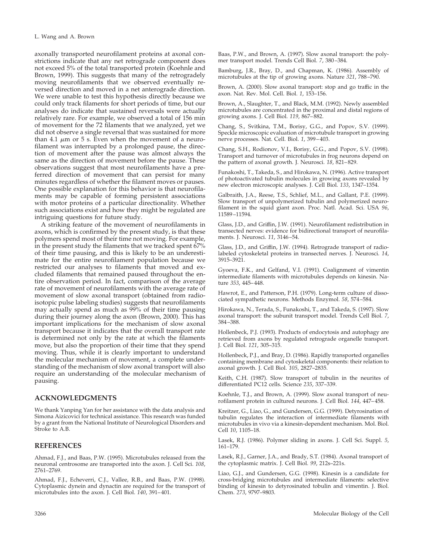axonally transported neurofilament proteins at axonal constrictions indicate that any net retrograde component does not exceed 5% of the total transported protein (Koehnle and Brown, 1999). This suggests that many of the retrogradely moving neurofilaments that we observed eventually reversed direction and moved in a net anterograde direction. We were unable to test this hypothesis directly because we could only track filaments for short periods of time, but our analyses do indicate that sustained reversals were actually relatively rare. For example, we observed a total of 156 min of movement for the 72 filaments that we analyzed, yet we did not observe a single reversal that was sustained for more than 4.1  $\mu$ m or 5 s. Even when the movement of a neurofilament was interrupted by a prolonged pause, the direction of movement after the pause was almost always the same as the direction of movement before the pause. These observations suggest that most neurofilaments have a preferred direction of movement that can persist for many minutes regardless of whether the filament moves or pauses. One possible explanation for this behavior is that neurofilaments may be capable of forming persistent associations with motor proteins of a particular directionality. Whether such associations exist and how they might be regulated are intriguing questions for future study.

A striking feature of the movement of neurofilaments in axons, which is confirmed by the present study, is that these polymers spend most of their time not moving. For example, in the present study the filaments that we tracked spent 67% of their time pausing, and this is likely to be an underestimate for the entire neurofilament population because we restricted our analyses to filaments that moved and excluded filaments that remained paused throughout the entire observation period. In fact, comparison of the average rate of movement of neurofilaments with the average rate of movement of slow axonal transport (obtained from radioisotopic pulse labeling studies) suggests that neurofilaments may actually spend as much as 99% of their time pausing during their journey along the axon (Brown, 2000). This has important implications for the mechanism of slow axonal transport because it indicates that the overall transport rate is determined not only by the rate at which the filaments move, but also the proportion of their time that they spend moving. Thus, while it is clearly important to understand the molecular mechanism of movement, a complete understanding of the mechanism of slow axonal transport will also require an understanding of the molecular mechanism of pausing.

#### **ACKNOWLEDGMENTS**

We thank Yanping Yan for her assistance with the data analysis and Simona Aizicovici for technical assistance. This research was funded by a grant from the National Institute of Neurological Disorders and Stroke to A.B.

#### **REFERENCES**

Ahmad, F.J., and Baas, P.W. (1995). Microtubules released from the neuronal centrosome are transported into the axon. J. Cell Sci. *108*, 2761–2769.

Ahmad, F.J., Echeverri, C.J., Vallee, R.B., and Baas, P.W. (1998). Cytoplasmic dynein and dynactin are required for the transport of microtubules into the axon. J. Cell Biol. *140*, 391–401.

Baas, P.W., and Brown, A. (1997). Slow axonal transport: the polymer transport model. Trends Cell Biol. *7*, 380–384.

Bamburg, J.R., Bray, D., and Chapman, K. (1986). Assembly of microtubules at the tip of growing axons. Nature *321*, 788–790.

Brown, A. (2000). Slow axonal transport: stop and go traffic in the axon. Nat. Rev. Mol. Cell. Biol. *1*, 153–156.

Brown, A., Slaughter, T., and Black, M.M. (1992). Newly assembled microtubules are concentrated in the proximal and distal regions of growing axons. J. Cell Biol. *119*, 867–882.

Chang, S., Svitkina, T.M., Borisy, G.G., and Popov, S.V. (1999). Speckle microscopic evaluation of microtubule transport in growing nerve processes. Nat. Cell. Biol. *1*, 399–403.

Chang, S.H., Rodionov, V.I., Borisy, G.G., and Popov, S.V. (1998). Transport and turnover of microtubules in frog neurons depend on the pattern of axonal growth. J. Neurosci. *18*, 821–829.

Funakoshi, T., Takeda, S., and Hirokawa, N. (1996). Active transport of photoactivated tubulin molecules in growing axons revealed by new electron microscopic analyses. J. Cell Biol. *133*, 1347–1354.

Galbraith, J.A., Reese, T.S., Schlief, M.L., and Gallant, P.E. (1999). Slow transport of unpolymerized tubulin and polymerized neurofilament in the squid giant axon. Proc. Natl. Acad. Sci. USA *96*, 11589–11594.

Glass, J.D., and Griffin, J.W. (1991). Neurofilament redistribution in transected nerves: evidence for bidirectional transport of neurofilaments. J. Neurosci. *11*, 3146–54.

Glass, J.D., and Griffin, J.W. (1994). Retrograde transport of radiolabeled cytoskeletal proteins in transected nerves. J. Neurosci. *14*, 3915–3921.

Gyoeva, F.K., and Gelfand, V.I. (1991). Coalignment of vimentin intermediate filaments with microtubules depends on kinesin. Nature *353*, 445–448.

Hawrot, E., and Patterson, P.H. (1979). Long-term culture of dissociated sympathetic neurons. Methods Enzymol. *58*, 574–584.

Hirokawa, N., Terada, S., Funakoshi, T., and Takeda, S. (1997). Slow axonal transport: the subunit transport model. Trends Cell Biol. *7*, 384–388.

Hollenbeck, P.J. (1993). Products of endocytosis and autophagy are retrieved from axons by regulated retrograde organelle transport. J. Cell Biol. *121*, 305–315.

Hollenbeck, P.J., and Bray, D. (1986). Rapidly transported organelles containing membrane and cytoskeletal components: their relation to axonal growth. J. Cell Biol. *105*, 2827–2835.

Keith, C.H. (1987). Slow transport of tubulin in the neurites of differentiated PC12 cells. Science *235*, 337–339.

Koehnle, T.J., and Brown, A. (1999). Slow axonal transport of neurofilament protein in cultured neurons. J. Cell Biol. *144*, 447–458.

Kreitzer, G., Liao, G., and Gundersen, G.G. (1999). Detyrosination of tubulin regulates the interaction of intermediate filaments with microtubules in vivo via a kinesin-dependent mechanism. Mol. Biol. Cell *10*, 1105–18.

Lasek, R.J. (1986). Polymer sliding in axons. J. Cell Sci. Suppl. *5*, 161–179.

Lasek, R.J., Garner, J.A., and Brady, S.T. (1984). Axonal transport of the cytoplasmic matrix. J. Cell Biol. *99*, 212s–221s.

Liao, G.J., and Gundersen, G.G. (1998). Kinesin is a candidate for cross-bridging microtubules and intermediate filaments: selective binding of kinesin to detyrosinated tobulin and vimentin. J. Biol. Chem. *273*, 9797–9803.